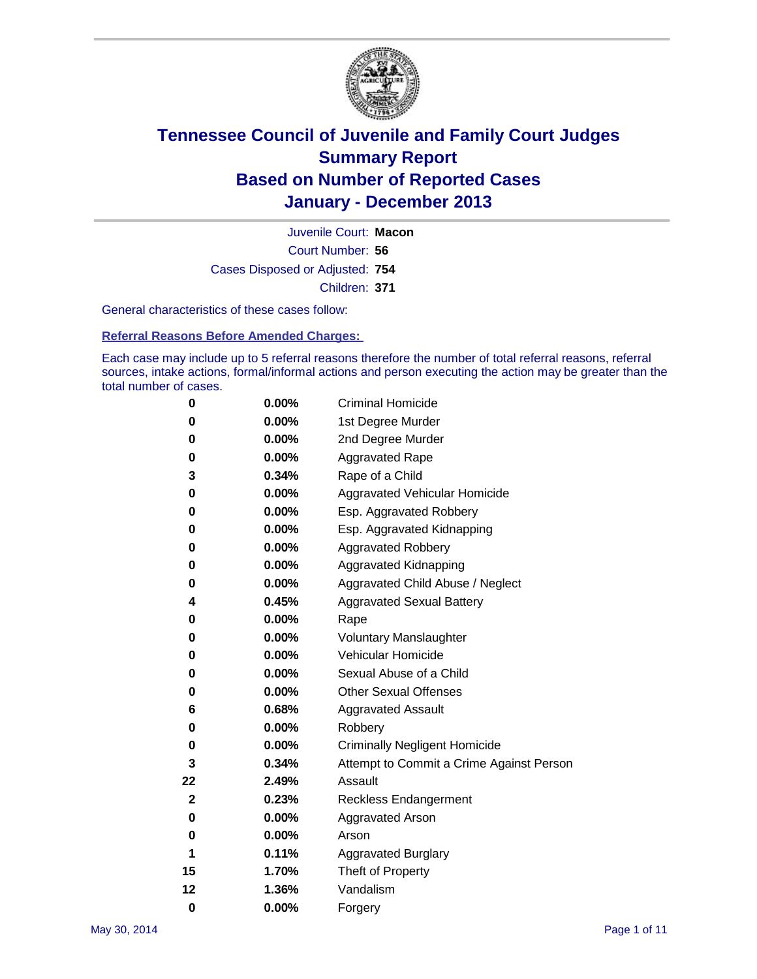

Court Number: **56** Juvenile Court: **Macon** Cases Disposed or Adjusted: **754** Children: **371**

General characteristics of these cases follow:

**Referral Reasons Before Amended Charges:** 

Each case may include up to 5 referral reasons therefore the number of total referral reasons, referral sources, intake actions, formal/informal actions and person executing the action may be greater than the total number of cases.

| 0           | 0.00%    | <b>Criminal Homicide</b>                 |
|-------------|----------|------------------------------------------|
| 0           | 0.00%    | 1st Degree Murder                        |
| 0           | 0.00%    | 2nd Degree Murder                        |
| 0           | $0.00\%$ | <b>Aggravated Rape</b>                   |
| 3           | 0.34%    | Rape of a Child                          |
| 0           | 0.00%    | <b>Aggravated Vehicular Homicide</b>     |
| 0           | 0.00%    | Esp. Aggravated Robbery                  |
| 0           | 0.00%    | Esp. Aggravated Kidnapping               |
| 0           | 0.00%    | <b>Aggravated Robbery</b>                |
| 0           | 0.00%    | Aggravated Kidnapping                    |
| 0           | 0.00%    | Aggravated Child Abuse / Neglect         |
| 4           | 0.45%    | <b>Aggravated Sexual Battery</b>         |
| 0           | 0.00%    | Rape                                     |
| 0           | 0.00%    | <b>Voluntary Manslaughter</b>            |
| 0           | 0.00%    | Vehicular Homicide                       |
| 0           | 0.00%    | Sexual Abuse of a Child                  |
| 0           | 0.00%    | <b>Other Sexual Offenses</b>             |
| 6           | 0.68%    | <b>Aggravated Assault</b>                |
| 0           | 0.00%    | Robbery                                  |
| 0           | 0.00%    | <b>Criminally Negligent Homicide</b>     |
| 3           | 0.34%    | Attempt to Commit a Crime Against Person |
| 22          | 2.49%    | Assault                                  |
| $\mathbf 2$ | 0.23%    | <b>Reckless Endangerment</b>             |
| 0           | 0.00%    | <b>Aggravated Arson</b>                  |
| 0           | 0.00%    | Arson                                    |
| 1           | 0.11%    | <b>Aggravated Burglary</b>               |
| 15          | 1.70%    | Theft of Property                        |
| 12          | 1.36%    | Vandalism                                |
| $\bf{0}$    | 0.00%    | Forgery                                  |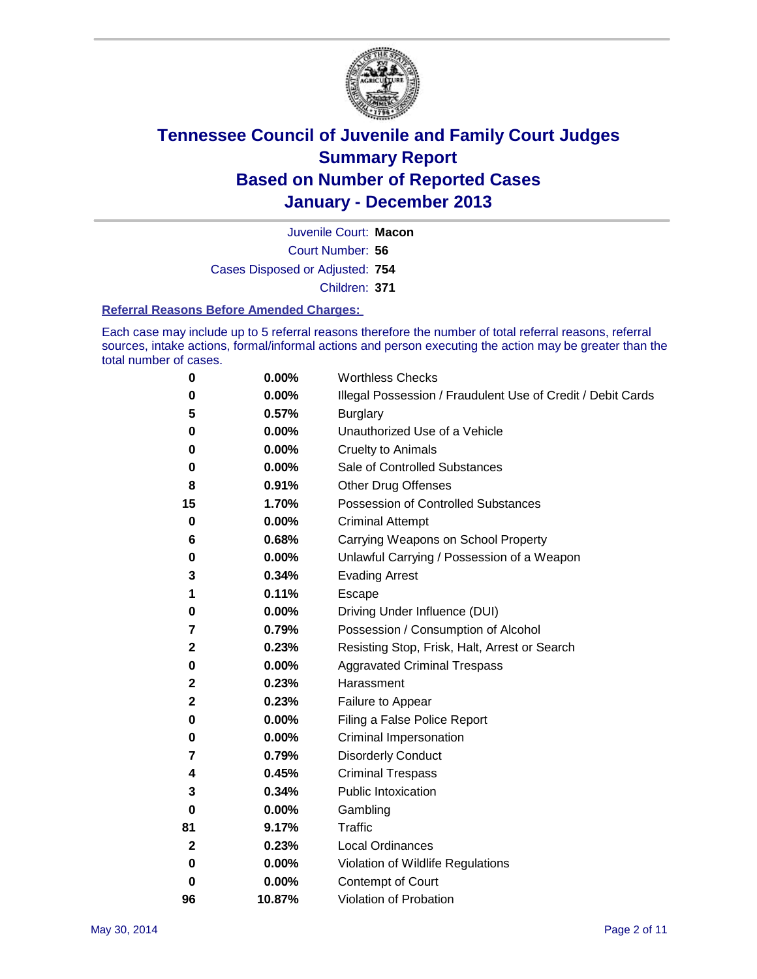

Court Number: **56** Juvenile Court: **Macon** Cases Disposed or Adjusted: **754** Children: **371**

#### **Referral Reasons Before Amended Charges:**

Each case may include up to 5 referral reasons therefore the number of total referral reasons, referral sources, intake actions, formal/informal actions and person executing the action may be greater than the total number of cases.

| 0  | 0.00%  | <b>Worthless Checks</b>                                     |
|----|--------|-------------------------------------------------------------|
| 0  | 0.00%  | Illegal Possession / Fraudulent Use of Credit / Debit Cards |
| 5  | 0.57%  | <b>Burglary</b>                                             |
| 0  | 0.00%  | Unauthorized Use of a Vehicle                               |
| 0  | 0.00%  | <b>Cruelty to Animals</b>                                   |
| 0  | 0.00%  | Sale of Controlled Substances                               |
| 8  | 0.91%  | <b>Other Drug Offenses</b>                                  |
| 15 | 1.70%  | Possession of Controlled Substances                         |
| 0  | 0.00%  | <b>Criminal Attempt</b>                                     |
| 6  | 0.68%  | Carrying Weapons on School Property                         |
| 0  | 0.00%  | Unlawful Carrying / Possession of a Weapon                  |
| 3  | 0.34%  | <b>Evading Arrest</b>                                       |
| 1  | 0.11%  | <b>Escape</b>                                               |
| 0  | 0.00%  | Driving Under Influence (DUI)                               |
| 7  | 0.79%  | Possession / Consumption of Alcohol                         |
| 2  | 0.23%  | Resisting Stop, Frisk, Halt, Arrest or Search               |
| 0  | 0.00%  | <b>Aggravated Criminal Trespass</b>                         |
| 2  | 0.23%  | Harassment                                                  |
| 2  | 0.23%  | Failure to Appear                                           |
| 0  | 0.00%  | Filing a False Police Report                                |
| 0  | 0.00%  | Criminal Impersonation                                      |
| 7  | 0.79%  | <b>Disorderly Conduct</b>                                   |
| 4  | 0.45%  | <b>Criminal Trespass</b>                                    |
| 3  | 0.34%  | <b>Public Intoxication</b>                                  |
| 0  | 0.00%  | Gambling                                                    |
| 81 | 9.17%  | Traffic                                                     |
| 2  | 0.23%  | <b>Local Ordinances</b>                                     |
| 0  | 0.00%  | Violation of Wildlife Regulations                           |
| 0  | 0.00%  | Contempt of Court                                           |
| 96 | 10.87% | Violation of Probation                                      |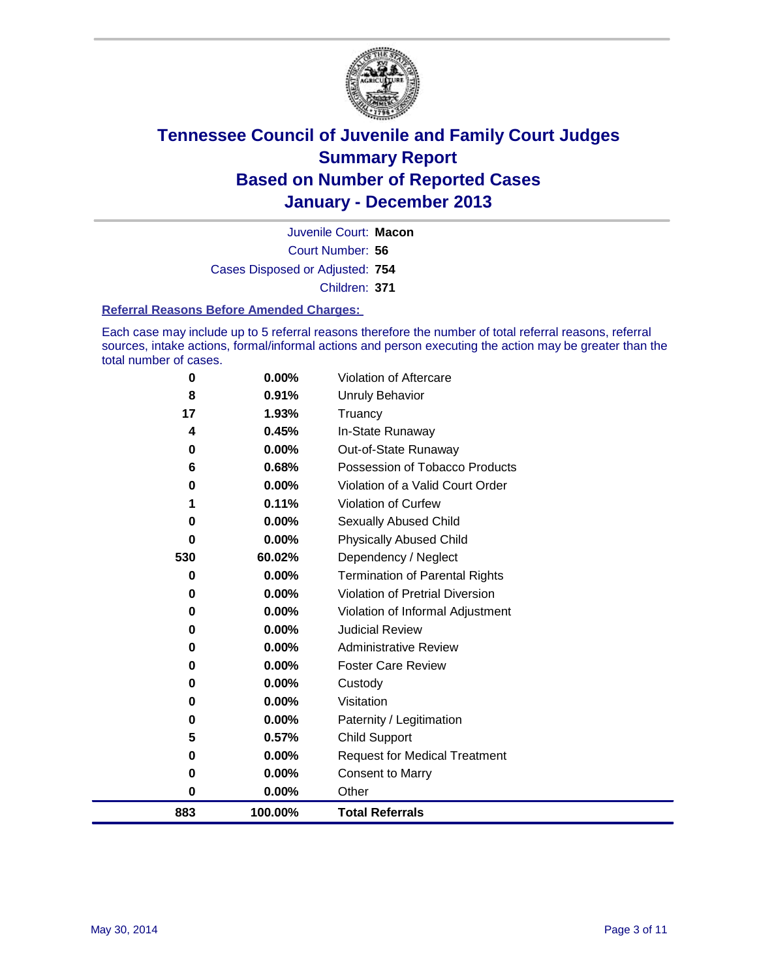

Court Number: **56** Juvenile Court: **Macon** Cases Disposed or Adjusted: **754** Children: **371**

#### **Referral Reasons Before Amended Charges:**

Each case may include up to 5 referral reasons therefore the number of total referral reasons, referral sources, intake actions, formal/informal actions and person executing the action may be greater than the total number of cases.

| 883     | 100.00%        | <b>Total Referrals</b>                |
|---------|----------------|---------------------------------------|
| 0       | $0.00\%$       | Other                                 |
| 0       | 0.00%          | <b>Consent to Marry</b>               |
| 0       | 0.00%          | <b>Request for Medical Treatment</b>  |
| 5       | 0.57%          | <b>Child Support</b>                  |
| 0       | 0.00%          | Paternity / Legitimation              |
| 0       | 0.00%          | Visitation                            |
| 0       | 0.00%          | Custody                               |
| 0       | 0.00%          | <b>Foster Care Review</b>             |
| 0       | 0.00%          | <b>Administrative Review</b>          |
| 0       | 0.00%          | <b>Judicial Review</b>                |
| 0       | 0.00%          | Violation of Informal Adjustment      |
| 0       | 0.00%          | Violation of Pretrial Diversion       |
| 0       | 0.00%          | <b>Termination of Parental Rights</b> |
| 530     | 60.02%         | Dependency / Neglect                  |
| 0       | 0.00%          | <b>Physically Abused Child</b>        |
| 0       | 0.00%          | Sexually Abused Child                 |
|         | 0.11%          | Violation of Curfew                   |
| 0       | 0.00%          | Violation of a Valid Court Order      |
| 6       | 0.68%          | Possession of Tobacco Products        |
| 0       | 0.00%          | Out-of-State Runaway                  |
| 4       | 0.45%          | In-State Runaway                      |
| 8<br>17 | 0.91%<br>1.93% | Unruly Behavior<br>Truancy            |
| 0       | 0.00%          | Violation of Aftercare                |
|         |                |                                       |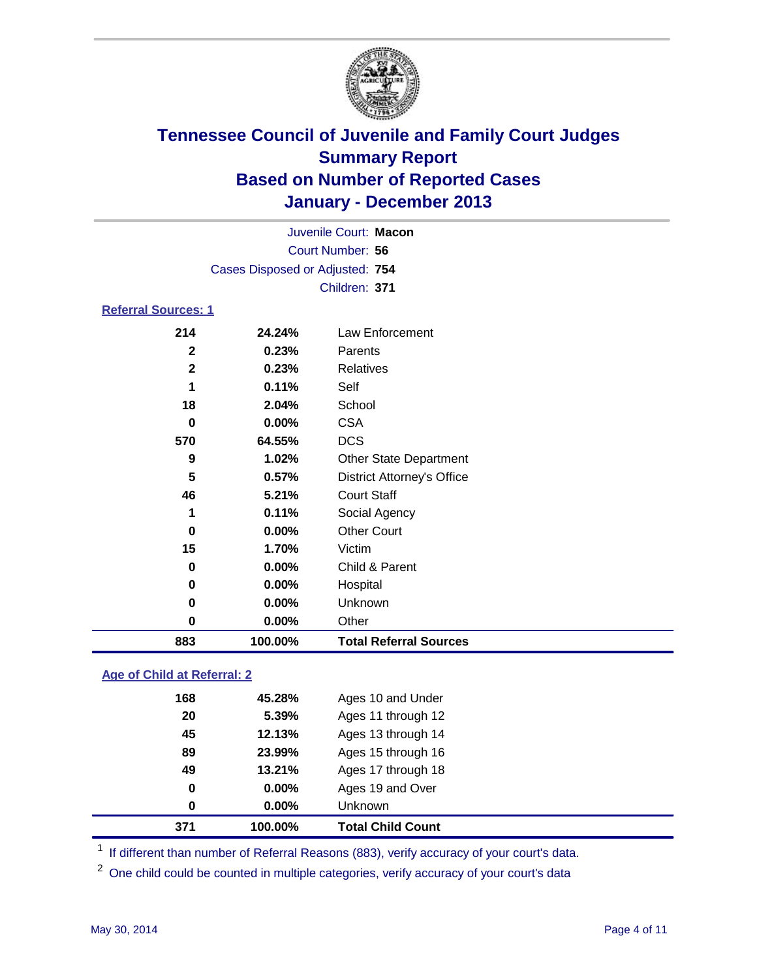

|                            |                                 | Juvenile Court: Macon             |
|----------------------------|---------------------------------|-----------------------------------|
|                            |                                 | Court Number: 56                  |
|                            | Cases Disposed or Adjusted: 754 |                                   |
|                            |                                 | Children: 371                     |
| <b>Referral Sources: 1</b> |                                 |                                   |
| 214                        | 24.24%                          | Law Enforcement                   |
| $\mathbf{2}$               | 0.23%                           | Parents                           |
| $\mathbf{2}$               | 0.23%                           | <b>Relatives</b>                  |
|                            | 0.11%                           | Self                              |
| 18                         | 2.04%                           | School                            |
| 0                          | $0.00\%$                        | <b>CSA</b>                        |
| 570                        | 64.55%                          | <b>DCS</b>                        |
| 9                          | 1.02%                           | <b>Other State Department</b>     |
| 5                          | 0.57%                           | <b>District Attorney's Office</b> |
| 46                         | 5.21%                           | <b>Court Staff</b>                |
|                            | 0.11%                           | Social Agency                     |
| 0                          | $0.00\%$                        | <b>Other Court</b>                |
| 15                         | 1.70%                           | Victim                            |
| U                          | <u>_____</u>                    | $\bigcap$ id 0 $\bigcap$          |

| 883 | 100.00%  | <b>Total Referral Sources</b> |  |
|-----|----------|-------------------------------|--|
| 0   | $0.00\%$ | Other                         |  |
| 0   | $0.00\%$ | Unknown                       |  |
| 0   | $0.00\%$ | Hospital                      |  |
| 0   | $0.00\%$ | Child & Parent                |  |

### **Age of Child at Referral: 2**

| 371 | 100.00%  | <b>Total Child Count</b> |  |
|-----|----------|--------------------------|--|
| 0   | 0.00%    | Unknown                  |  |
| 0   | $0.00\%$ | Ages 19 and Over         |  |
| 49  | 13.21%   | Ages 17 through 18       |  |
| 89  | 23.99%   | Ages 15 through 16       |  |
| 45  | 12.13%   | Ages 13 through 14       |  |
| 20  | 5.39%    | Ages 11 through 12       |  |
| 168 | 45.28%   | Ages 10 and Under        |  |
|     |          |                          |  |

<sup>1</sup> If different than number of Referral Reasons (883), verify accuracy of your court's data.

<sup>2</sup> One child could be counted in multiple categories, verify accuracy of your court's data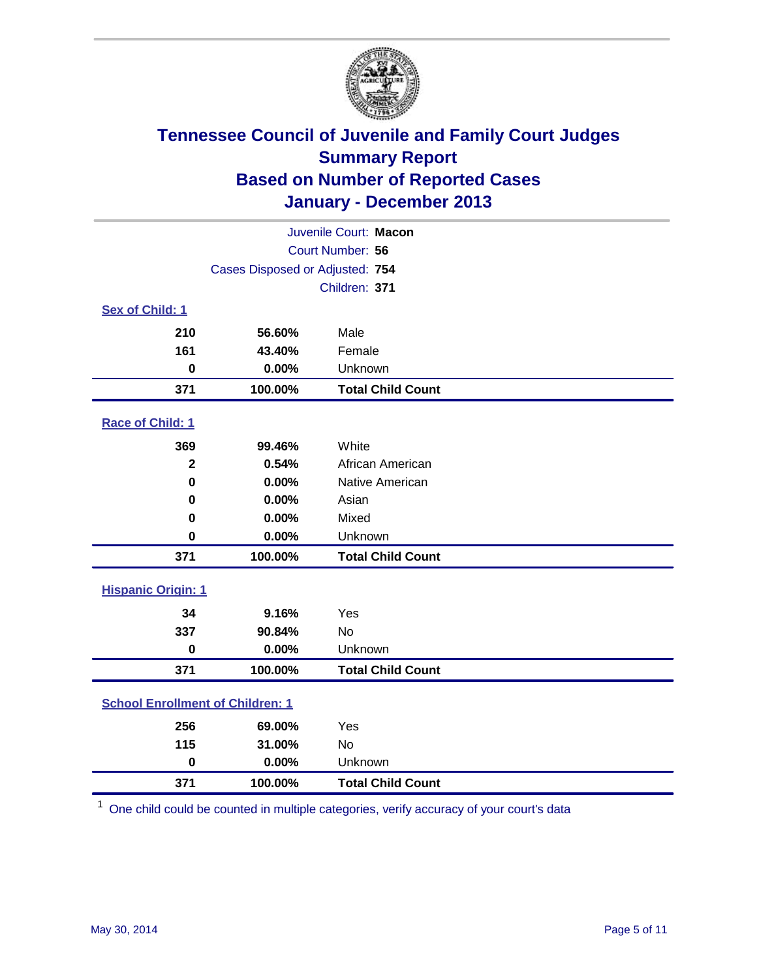

|                                         |                                 | Juvenile Court: Macon    |
|-----------------------------------------|---------------------------------|--------------------------|
|                                         |                                 | Court Number: 56         |
|                                         | Cases Disposed or Adjusted: 754 |                          |
|                                         |                                 | Children: 371            |
| Sex of Child: 1                         |                                 |                          |
| 210                                     | 56.60%                          | Male                     |
| 161                                     | 43.40%                          | Female                   |
| $\bf{0}$                                | 0.00%                           | Unknown                  |
| 371                                     | 100.00%                         | <b>Total Child Count</b> |
| Race of Child: 1                        |                                 |                          |
| 369                                     | 99.46%                          | White                    |
| $\overline{\mathbf{2}}$                 | 0.54%                           | African American         |
| $\bf{0}$                                | 0.00%                           | Native American          |
| 0                                       | 0.00%                           | Asian                    |
| 0                                       | 0.00%                           | Mixed                    |
| 0                                       | 0.00%                           | Unknown                  |
| 371                                     | 100.00%                         | <b>Total Child Count</b> |
| <b>Hispanic Origin: 1</b>               |                                 |                          |
| 34                                      | 9.16%                           | Yes                      |
| 337                                     | 90.84%                          | <b>No</b>                |
| $\pmb{0}$                               | 0.00%                           | Unknown                  |
| 371                                     | 100.00%                         | <b>Total Child Count</b> |
| <b>School Enrollment of Children: 1</b> |                                 |                          |
| 256                                     | 69.00%                          | Yes                      |
| 115                                     | 31.00%                          | <b>No</b>                |
| $\bf{0}$                                | 0.00%                           | Unknown                  |
| 371                                     | 100.00%                         | <b>Total Child Count</b> |

One child could be counted in multiple categories, verify accuracy of your court's data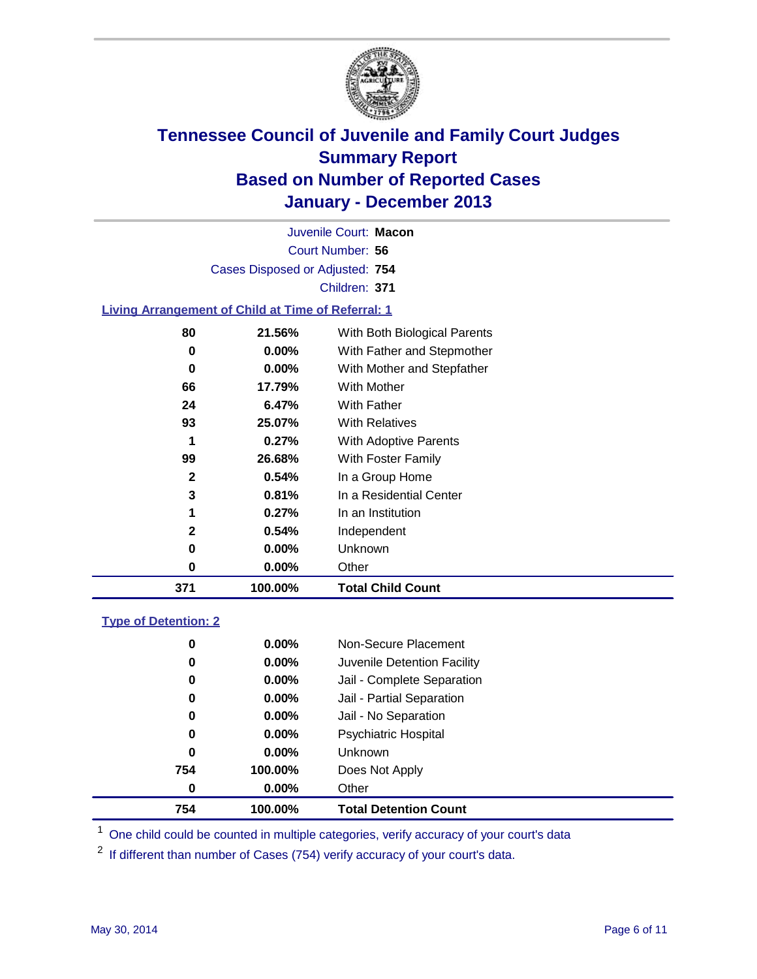

Court Number: **56** Juvenile Court: **Macon** Cases Disposed or Adjusted: **754** Children: **371**

### **Living Arrangement of Child at Time of Referral: 1**

| 371 | 100.00%  | <b>Total Child Count</b>     |
|-----|----------|------------------------------|
| 0   | 0.00%    | Other                        |
| 0   | 0.00%    | <b>Unknown</b>               |
| 2   | 0.54%    | Independent                  |
| 1   | 0.27%    | In an Institution            |
| 3   | 0.81%    | In a Residential Center      |
| 2   | 0.54%    | In a Group Home              |
| 99  | 26.68%   | With Foster Family           |
| 1   | 0.27%    | With Adoptive Parents        |
| 93  | 25.07%   | <b>With Relatives</b>        |
| 24  | 6.47%    | With Father                  |
| 66  | 17.79%   | With Mother                  |
| 0   | $0.00\%$ | With Mother and Stepfather   |
| 0   | $0.00\%$ | With Father and Stepmother   |
| 80  | 21.56%   | With Both Biological Parents |
|     |          |                              |

#### **Type of Detention: 2**

| 754 | 100.00%  | <b>Total Detention Count</b> |  |
|-----|----------|------------------------------|--|
| 0   | $0.00\%$ | Other                        |  |
| 754 | 100.00%  | Does Not Apply               |  |
| 0   | $0.00\%$ | <b>Unknown</b>               |  |
| 0   | $0.00\%$ | <b>Psychiatric Hospital</b>  |  |
| 0   | 0.00%    | Jail - No Separation         |  |
| 0   | 0.00%    | Jail - Partial Separation    |  |
| 0   | $0.00\%$ | Jail - Complete Separation   |  |
| 0   | 0.00%    | Juvenile Detention Facility  |  |
| 0   | 0.00%    | Non-Secure Placement         |  |
|     |          |                              |  |

<sup>1</sup> One child could be counted in multiple categories, verify accuracy of your court's data

If different than number of Cases (754) verify accuracy of your court's data.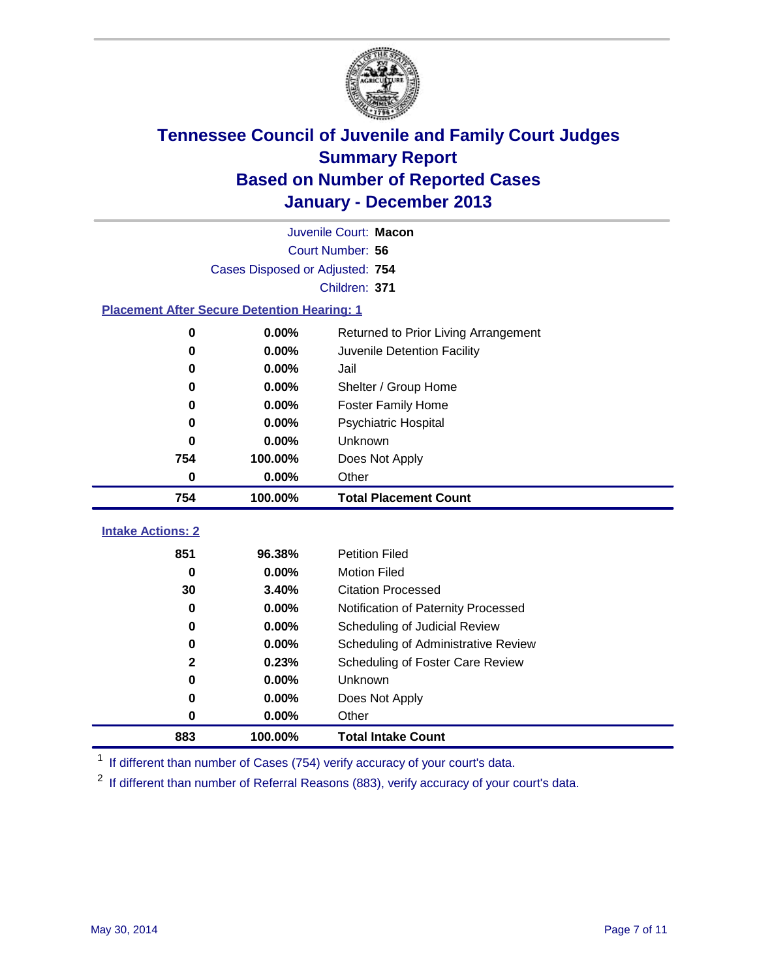

|                                                    |                                 | Juvenile Court: Macon                |
|----------------------------------------------------|---------------------------------|--------------------------------------|
|                                                    |                                 | Court Number: 56                     |
|                                                    | Cases Disposed or Adjusted: 754 |                                      |
|                                                    |                                 | Children: 371                        |
| <b>Placement After Secure Detention Hearing: 1</b> |                                 |                                      |
| 0                                                  | 0.00%                           | Returned to Prior Living Arrangement |
| $\bf{0}$                                           | 0.00%                           | Juvenile Detention Facility          |
| $\bf{0}$                                           | 0.00%                           | Jail                                 |
| 0                                                  | 0.00%                           | Shelter / Group Home                 |
| 0                                                  | 0.00%                           | <b>Foster Family Home</b>            |
| 0                                                  | 0.00%                           | <b>Psychiatric Hospital</b>          |
| 0                                                  | 0.00%                           | Unknown                              |
| 754                                                | 100.00%                         | Does Not Apply                       |
| 0                                                  | 0.00%                           | Other                                |
| 754                                                | 100.00%                         | <b>Total Placement Count</b>         |
| <b>Intake Actions: 2</b>                           |                                 |                                      |
| 851                                                | 96.38%                          | <b>Petition Filed</b>                |
| 0                                                  | 0.00%                           | <b>Motion Filed</b>                  |
| 30                                                 | 3.40%                           | <b>Citation Processed</b>            |
| 0                                                  | 0.00%                           | Notification of Paternity Processed  |
| 0                                                  | 0.00%                           | Scheduling of Judicial Review        |
| 0                                                  | 0.00%                           | Scheduling of Administrative Review  |
| $\mathbf{2}$                                       | 0.23%                           | Scheduling of Foster Care Review     |
| 0                                                  | 0.00%                           | Unknown                              |
| 0                                                  | 0.00%                           | Does Not Apply                       |
| 0                                                  | 0.00%                           | Other                                |
|                                                    |                                 |                                      |

<sup>1</sup> If different than number of Cases (754) verify accuracy of your court's data.

<sup>2</sup> If different than number of Referral Reasons (883), verify accuracy of your court's data.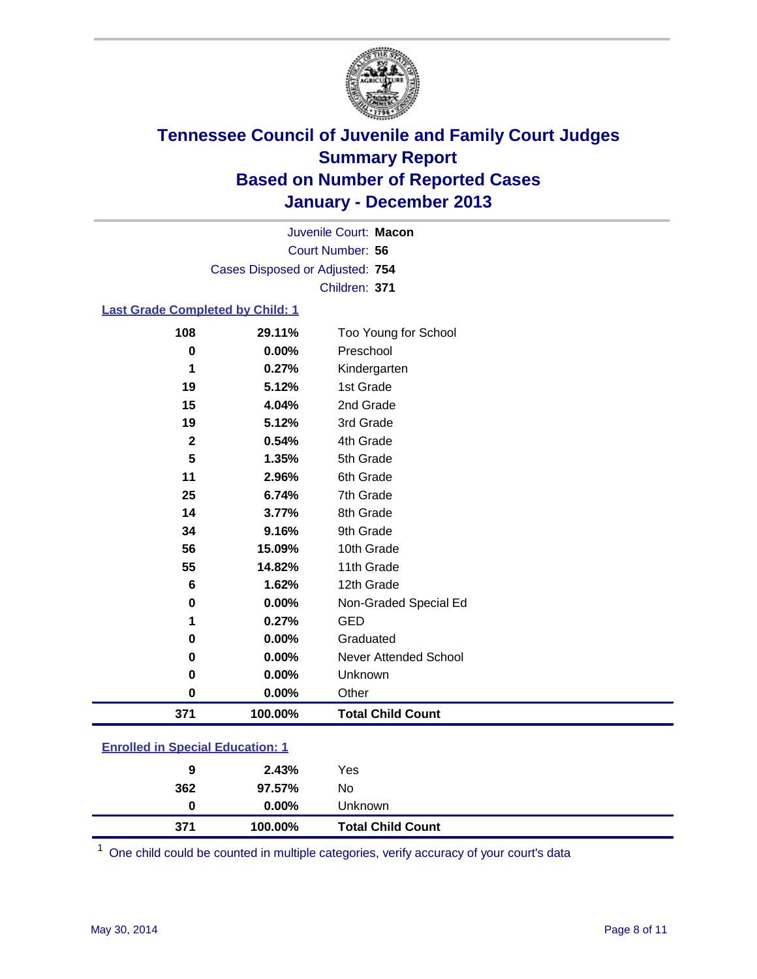

Court Number: **56** Juvenile Court: **Macon** Cases Disposed or Adjusted: **754** Children: **371**

### **Last Grade Completed by Child: 1**

| 108          | 29.11%  | Too Young for School         |
|--------------|---------|------------------------------|
| 0            | 0.00%   | Preschool                    |
| 1            | 0.27%   | Kindergarten                 |
| 19           | 5.12%   | 1st Grade                    |
| 15           | 4.04%   | 2nd Grade                    |
| 19           | 5.12%   | 3rd Grade                    |
| $\mathbf{2}$ | 0.54%   | 4th Grade                    |
| 5            | 1.35%   | 5th Grade                    |
| 11           | 2.96%   | 6th Grade                    |
| 25           | 6.74%   | 7th Grade                    |
| 14           | 3.77%   | 8th Grade                    |
| 34           | 9.16%   | 9th Grade                    |
| 56           | 15.09%  | 10th Grade                   |
| 55           | 14.82%  | 11th Grade                   |
| 6            | 1.62%   | 12th Grade                   |
| 0            | 0.00%   | Non-Graded Special Ed        |
| 1            | 0.27%   | <b>GED</b>                   |
| 0            | 0.00%   | Graduated                    |
| 0            | 0.00%   | <b>Never Attended School</b> |
| 0            | 0.00%   | Unknown                      |
| 0            | 0.00%   | Other                        |
| 371          | 100.00% | <b>Total Child Count</b>     |
|              |         |                              |

| <b>Enrolled in Special Education: 1</b> |  |
|-----------------------------------------|--|
|                                         |  |

| 9<br>362 | 2.43%<br>97.57% | Yes<br>No                |
|----------|-----------------|--------------------------|
| 0        | $0.00\%$        | Unknown                  |
| 371      | 100.00%         | <b>Total Child Count</b> |

One child could be counted in multiple categories, verify accuracy of your court's data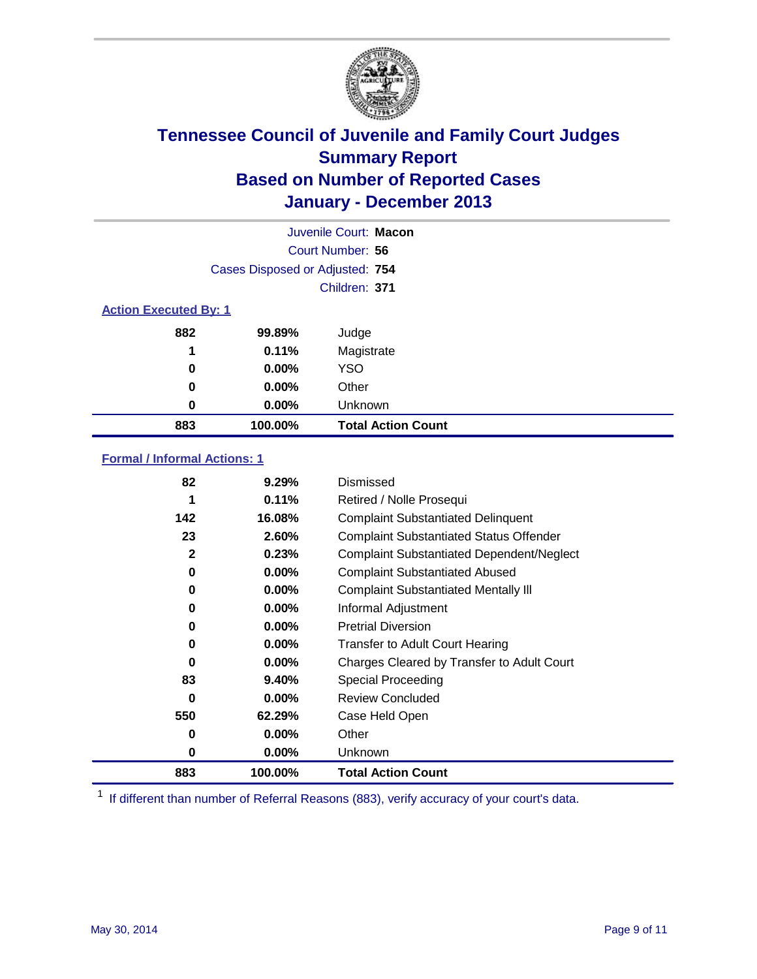

|                              |                                 | Juvenile Court: Macon     |  |
|------------------------------|---------------------------------|---------------------------|--|
|                              |                                 | Court Number: 56          |  |
|                              | Cases Disposed or Adjusted: 754 |                           |  |
|                              |                                 | Children: 371             |  |
| <b>Action Executed By: 1</b> |                                 |                           |  |
| 882                          | 99.89%                          | Judge                     |  |
| 1                            | 0.11%                           | Magistrate                |  |
| 0                            | $0.00\%$                        | <b>YSO</b>                |  |
| 0                            | $0.00\%$                        | Other                     |  |
| 0                            | $0.00\%$                        | Unknown                   |  |
| 883                          | 100.00%                         | <b>Total Action Count</b> |  |

### **Formal / Informal Actions: 1**

| 82           | 9.29%    | Dismissed                                        |
|--------------|----------|--------------------------------------------------|
| 1            | 0.11%    | Retired / Nolle Prosequi                         |
| 142          | 16.08%   | <b>Complaint Substantiated Delinquent</b>        |
| 23           | 2.60%    | <b>Complaint Substantiated Status Offender</b>   |
| $\mathbf{2}$ | 0.23%    | <b>Complaint Substantiated Dependent/Neglect</b> |
| 0            | $0.00\%$ | <b>Complaint Substantiated Abused</b>            |
| 0            | $0.00\%$ | <b>Complaint Substantiated Mentally III</b>      |
| 0            | $0.00\%$ | Informal Adjustment                              |
| 0            | $0.00\%$ | <b>Pretrial Diversion</b>                        |
| 0            | $0.00\%$ | <b>Transfer to Adult Court Hearing</b>           |
| 0            | $0.00\%$ | Charges Cleared by Transfer to Adult Court       |
| 83           | 9.40%    | Special Proceeding                               |
| $\bf{0}$     | $0.00\%$ | <b>Review Concluded</b>                          |
| 550          | 62.29%   | Case Held Open                                   |
| 0            | $0.00\%$ | Other                                            |
| 0            | $0.00\%$ | <b>Unknown</b>                                   |
| 883          | 100.00%  | <b>Total Action Count</b>                        |

<sup>1</sup> If different than number of Referral Reasons (883), verify accuracy of your court's data.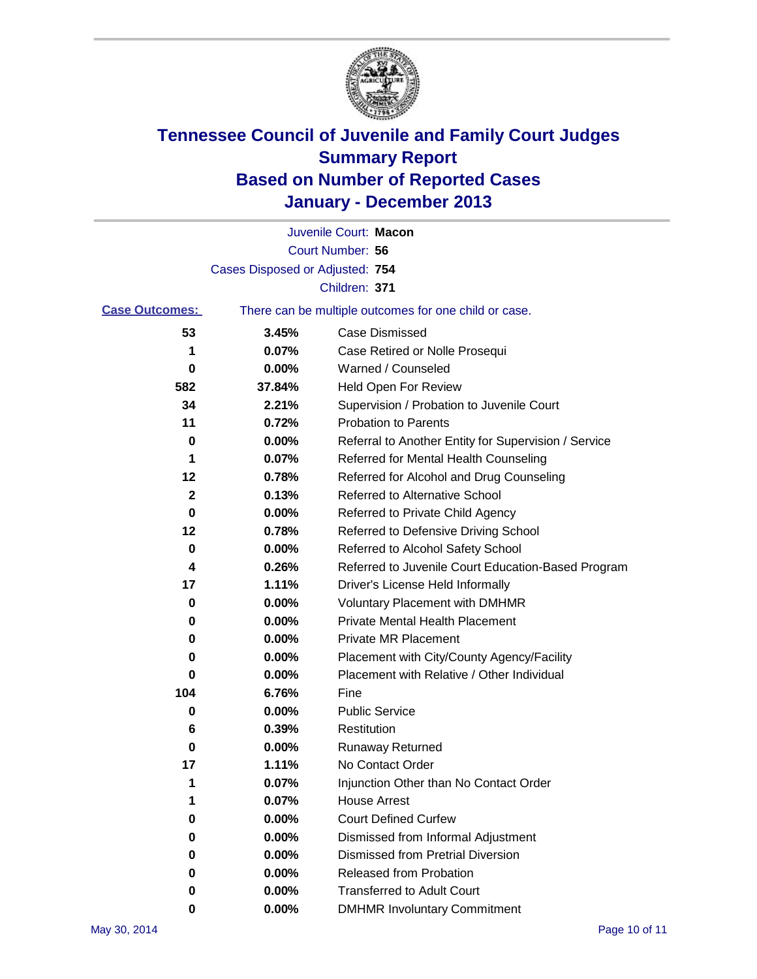

|                       |                                 | Juvenile Court: Macon                                 |
|-----------------------|---------------------------------|-------------------------------------------------------|
|                       |                                 | Court Number: 56                                      |
|                       | Cases Disposed or Adjusted: 754 |                                                       |
|                       |                                 | Children: 371                                         |
| <b>Case Outcomes:</b> |                                 | There can be multiple outcomes for one child or case. |
| 53                    | 3.45%                           | Case Dismissed                                        |
| 1                     | 0.07%                           | Case Retired or Nolle Prosequi                        |
| 0                     | 0.00%                           | Warned / Counseled                                    |
| 582                   | 37.84%                          | Held Open For Review                                  |
| 34                    | 2.21%                           | Supervision / Probation to Juvenile Court             |
| 11                    | 0.72%                           | <b>Probation to Parents</b>                           |
| 0                     | 0.00%                           | Referral to Another Entity for Supervision / Service  |
| 1                     | 0.07%                           | Referred for Mental Health Counseling                 |
| 12                    | 0.78%                           | Referred for Alcohol and Drug Counseling              |
| 2                     | 0.13%                           | Referred to Alternative School                        |
| 0                     | 0.00%                           | Referred to Private Child Agency                      |
| 12                    | 0.78%                           | Referred to Defensive Driving School                  |
| 0                     | 0.00%                           | Referred to Alcohol Safety School                     |
| 4                     | 0.26%                           | Referred to Juvenile Court Education-Based Program    |
| 17                    | 1.11%                           | Driver's License Held Informally                      |
| 0                     | 0.00%                           | <b>Voluntary Placement with DMHMR</b>                 |
| 0                     | 0.00%                           | <b>Private Mental Health Placement</b>                |
| 0                     | 0.00%                           | <b>Private MR Placement</b>                           |
| 0                     | 0.00%                           | Placement with City/County Agency/Facility            |
| 0                     | 0.00%                           | Placement with Relative / Other Individual            |
| 104                   | 6.76%                           | Fine                                                  |
| 0                     | 0.00%                           | <b>Public Service</b>                                 |
| 6                     | 0.39%                           | Restitution                                           |
| 0                     | 0.00%                           | <b>Runaway Returned</b>                               |
| 17                    | 1.11%                           | No Contact Order                                      |
| 1                     | 0.07%                           | Injunction Other than No Contact Order                |
| 1                     | 0.07%                           | <b>House Arrest</b>                                   |
| 0                     | 0.00%                           | <b>Court Defined Curfew</b>                           |
| 0                     | 0.00%                           | Dismissed from Informal Adjustment                    |
| 0                     | 0.00%                           | <b>Dismissed from Pretrial Diversion</b>              |
| 0                     | 0.00%                           | Released from Probation                               |
| 0                     | 0.00%                           | <b>Transferred to Adult Court</b>                     |
| 0                     | $0.00\%$                        | <b>DMHMR Involuntary Commitment</b>                   |